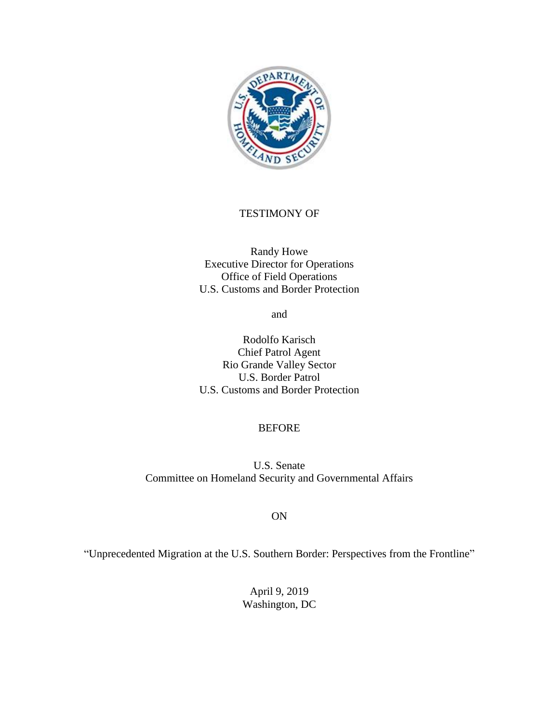

### TESTIMONY OF

Randy Howe Executive Director for Operations Office of Field Operations U.S. Customs and Border Protection

and

Rodolfo Karisch Chief Patrol Agent Rio Grande Valley Sector U.S. Border Patrol U.S. Customs and Border Protection

#### BEFORE

U.S. Senate Committee on Homeland Security and Governmental Affairs

#### ON

"Unprecedented Migration at the U.S. Southern Border: Perspectives from the Frontline"

April 9, 2019 Washington, DC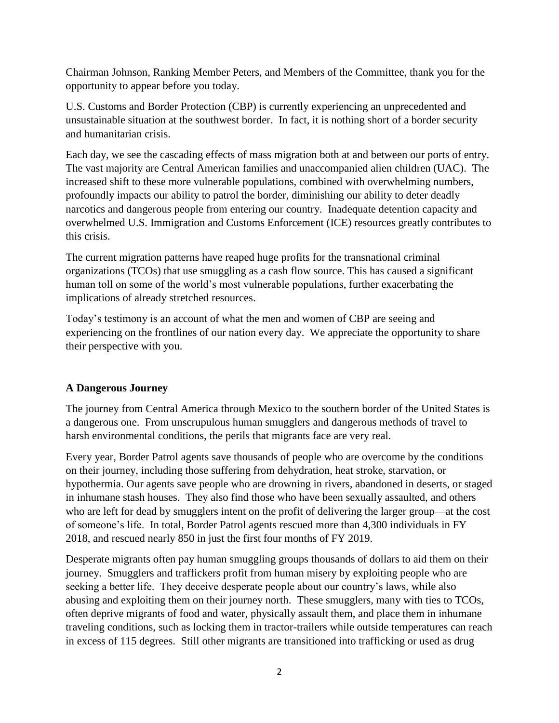Chairman Johnson, Ranking Member Peters, and Members of the Committee, thank you for the opportunity to appear before you today.

U.S. Customs and Border Protection (CBP) is currently experiencing an unprecedented and unsustainable situation at the southwest border. In fact, it is nothing short of a border security and humanitarian crisis.

Each day, we see the cascading effects of mass migration both at and between our ports of entry. The vast majority are Central American families and unaccompanied alien children (UAC). The increased shift to these more vulnerable populations, combined with overwhelming numbers, profoundly impacts our ability to patrol the border, diminishing our ability to deter deadly narcotics and dangerous people from entering our country. Inadequate detention capacity and overwhelmed U.S. Immigration and Customs Enforcement (ICE) resources greatly contributes to this crisis.

The current migration patterns have reaped huge profits for the transnational criminal organizations (TCOs) that use smuggling as a cash flow source. This has caused a significant human toll on some of the world's most vulnerable populations, further exacerbating the implications of already stretched resources.

Today's testimony is an account of what the men and women of CBP are seeing and experiencing on the frontlines of our nation every day. We appreciate the opportunity to share their perspective with you.

# **A Dangerous Journey**

The journey from Central America through Mexico to the southern border of the United States is a dangerous one. From unscrupulous human smugglers and dangerous methods of travel to harsh environmental conditions, the perils that migrants face are very real.

Every year, Border Patrol agents save thousands of people who are overcome by the conditions on their journey, including those suffering from dehydration, heat stroke, starvation, or hypothermia. Our agents save people who are drowning in rivers, abandoned in deserts, or staged in inhumane stash houses. They also find those who have been sexually assaulted, and others who are left for dead by smugglers intent on the profit of delivering the larger group—at the cost of someone's life. In total, Border Patrol agents rescued more than 4,300 individuals in FY 2018, and rescued nearly 850 in just the first four months of FY 2019.

Desperate migrants often pay human smuggling groups thousands of dollars to aid them on their journey. Smugglers and traffickers profit from human misery by exploiting people who are seeking a better life. They deceive desperate people about our country's laws, while also abusing and exploiting them on their journey north. These smugglers, many with ties to TCOs, often deprive migrants of food and water, physically assault them, and place them in inhumane traveling conditions, such as locking them in tractor-trailers while outside temperatures can reach in excess of 115 degrees. Still other migrants are transitioned into trafficking or used as drug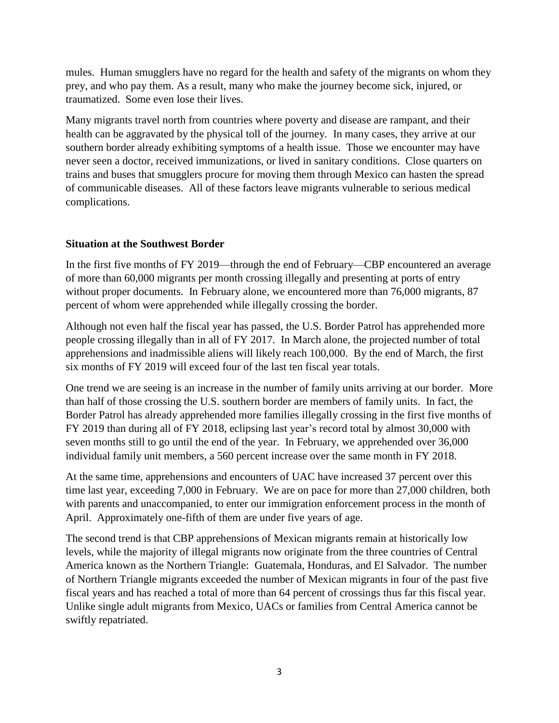mules. Human smugglers have no regard for the health and safety of the migrants on whom they prey, and who pay them. As a result, many who make the journey become sick, injured, or traumatized. Some even lose their lives.

Many migrants travel north from countries where poverty and disease are rampant, and their health can be aggravated by the physical toll of the journey. In many cases, they arrive at our southern border already exhibiting symptoms of a health issue. Those we encounter may have never seen a doctor, received immunizations, or lived in sanitary conditions. Close quarters on trains and buses that smugglers procure for moving them through Mexico can hasten the spread of communicable diseases. All of these factors leave migrants vulnerable to serious medical complications.

# **Situation at the Southwest Border**

In the first five months of FY 2019—through the end of February—CBP encountered an average of more than 60,000 migrants per month crossing illegally and presenting at ports of entry without proper documents. In February alone, we encountered more than 76,000 migrants, 87 percent of whom were apprehended while illegally crossing the border.

Although not even half the fiscal year has passed, the U.S. Border Patrol has apprehended more people crossing illegally than in all of FY 2017. In March alone, the projected number of total apprehensions and inadmissible aliens will likely reach 100,000. By the end of March, the first six months of FY 2019 will exceed four of the last ten fiscal year totals.

One trend we are seeing is an increase in the number of family units arriving at our border. More than half of those crossing the U.S. southern border are members of family units. In fact, the Border Patrol has already apprehended more families illegally crossing in the first five months of FY 2019 than during all of FY 2018, eclipsing last year's record total by almost 30,000 with seven months still to go until the end of the year. In February, we apprehended over 36,000 individual family unit members, a 560 percent increase over the same month in FY 2018.

At the same time, apprehensions and encounters of UAC have increased 37 percent over this time last year, exceeding 7,000 in February. We are on pace for more than 27,000 children, both with parents and unaccompanied, to enter our immigration enforcement process in the month of April. Approximately one-fifth of them are under five years of age.

The second trend is that CBP apprehensions of Mexican migrants remain at historically low levels, while the majority of illegal migrants now originate from the three countries of Central America known as the Northern Triangle: Guatemala, Honduras, and El Salvador. The number of Northern Triangle migrants exceeded the number of Mexican migrants in four of the past five fiscal years and has reached a total of more than 64 percent of crossings thus far this fiscal year. Unlike single adult migrants from Mexico, UACs or families from Central America cannot be swiftly repatriated.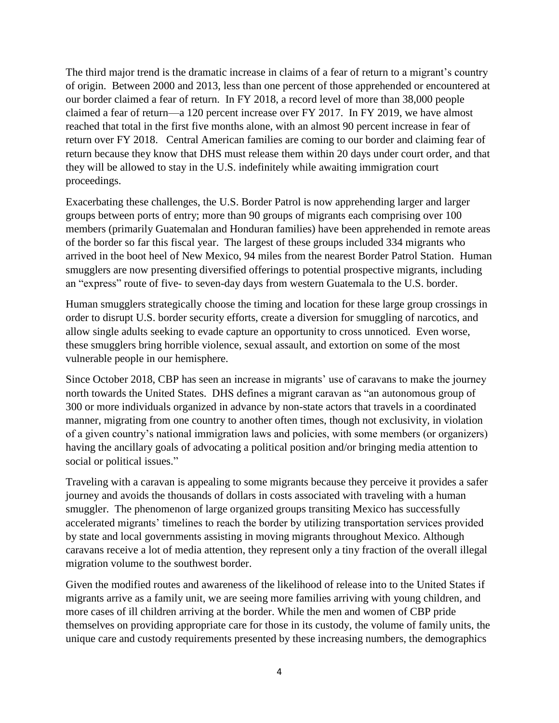The third major trend is the dramatic increase in claims of a fear of return to a migrant's country of origin. Between 2000 and 2013, less than one percent of those apprehended or encountered at our border claimed a fear of return. In FY 2018, a record level of more than 38,000 people claimed a fear of return—a 120 percent increase over FY 2017. In FY 2019, we have almost reached that total in the first five months alone, with an almost 90 percent increase in fear of return over FY 2018. Central American families are coming to our border and claiming fear of return because they know that DHS must release them within 20 days under court order, and that they will be allowed to stay in the U.S. indefinitely while awaiting immigration court proceedings.

Exacerbating these challenges, the U.S. Border Patrol is now apprehending larger and larger groups between ports of entry; more than 90 groups of migrants each comprising over 100 members (primarily Guatemalan and Honduran families) have been apprehended in remote areas of the border so far this fiscal year. The largest of these groups included 334 migrants who arrived in the boot heel of New Mexico, 94 miles from the nearest Border Patrol Station. Human smugglers are now presenting diversified offerings to potential prospective migrants, including an "express" route of five- to seven-day days from western Guatemala to the U.S. border.

Human smugglers strategically choose the timing and location for these large group crossings in order to disrupt U.S. border security efforts, create a diversion for smuggling of narcotics, and allow single adults seeking to evade capture an opportunity to cross unnoticed. Even worse, these smugglers bring horrible violence, sexual assault, and extortion on some of the most vulnerable people in our hemisphere.

Since October 2018, CBP has seen an increase in migrants' use of caravans to make the journey north towards the United States. DHS defines a migrant caravan as "an autonomous group of 300 or more individuals organized in advance by non-state actors that travels in a coordinated manner, migrating from one country to another often times, though not exclusivity, in violation of a given country's national immigration laws and policies, with some members (or organizers) having the ancillary goals of advocating a political position and/or bringing media attention to social or political issues."

Traveling with a caravan is appealing to some migrants because they perceive it provides a safer journey and avoids the thousands of dollars in costs associated with traveling with a human smuggler. The phenomenon of large organized groups transiting Mexico has successfully accelerated migrants' timelines to reach the border by utilizing transportation services provided by state and local governments assisting in moving migrants throughout Mexico. Although caravans receive a lot of media attention, they represent only a tiny fraction of the overall illegal migration volume to the southwest border.

Given the modified routes and awareness of the likelihood of release into to the United States if migrants arrive as a family unit, we are seeing more families arriving with young children, and more cases of ill children arriving at the border. While the men and women of CBP pride themselves on providing appropriate care for those in its custody, the volume of family units, the unique care and custody requirements presented by these increasing numbers, the demographics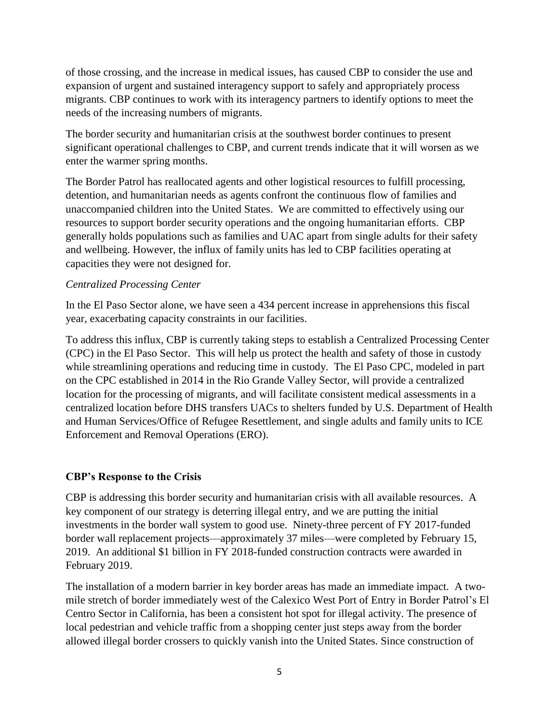of those crossing, and the increase in medical issues, has caused CBP to consider the use and expansion of urgent and sustained interagency support to safely and appropriately process migrants. CBP continues to work with its interagency partners to identify options to meet the needs of the increasing numbers of migrants.

The border security and humanitarian crisis at the southwest border continues to present significant operational challenges to CBP, and current trends indicate that it will worsen as we enter the warmer spring months.

The Border Patrol has reallocated agents and other logistical resources to fulfill processing, detention, and humanitarian needs as agents confront the continuous flow of families and unaccompanied children into the United States. We are committed to effectively using our resources to support border security operations and the ongoing humanitarian efforts. CBP generally holds populations such as families and UAC apart from single adults for their safety and wellbeing. However, the influx of family units has led to CBP facilities operating at capacities they were not designed for.

### *Centralized Processing Center*

In the El Paso Sector alone, we have seen a 434 percent increase in apprehensions this fiscal year, exacerbating capacity constraints in our facilities.

To address this influx, CBP is currently taking steps to establish a Centralized Processing Center (CPC) in the El Paso Sector. This will help us protect the health and safety of those in custody while streamlining operations and reducing time in custody. The El Paso CPC, modeled in part on the CPC established in 2014 in the Rio Grande Valley Sector, will provide a centralized location for the processing of migrants, and will facilitate consistent medical assessments in a centralized location before DHS transfers UACs to shelters funded by U.S. Department of Health and Human Services/Office of Refugee Resettlement, and single adults and family units to ICE Enforcement and Removal Operations (ERO).

# **CBP's Response to the Crisis**

CBP is addressing this border security and humanitarian crisis with all available resources. A key component of our strategy is deterring illegal entry, and we are putting the initial investments in the border wall system to good use. Ninety-three percent of FY 2017-funded border wall replacement projects—approximately 37 miles—were completed by February 15, 2019. An additional \$1 billion in FY 2018-funded construction contracts were awarded in February 2019.

The installation of a modern barrier in key border areas has made an immediate impact. A twomile stretch of border immediately west of the Calexico West Port of Entry in Border Patrol's El Centro Sector in California, has been a consistent hot spot for illegal activity. The presence of local pedestrian and vehicle traffic from a shopping center just steps away from the border allowed illegal border crossers to quickly vanish into the United States. Since construction of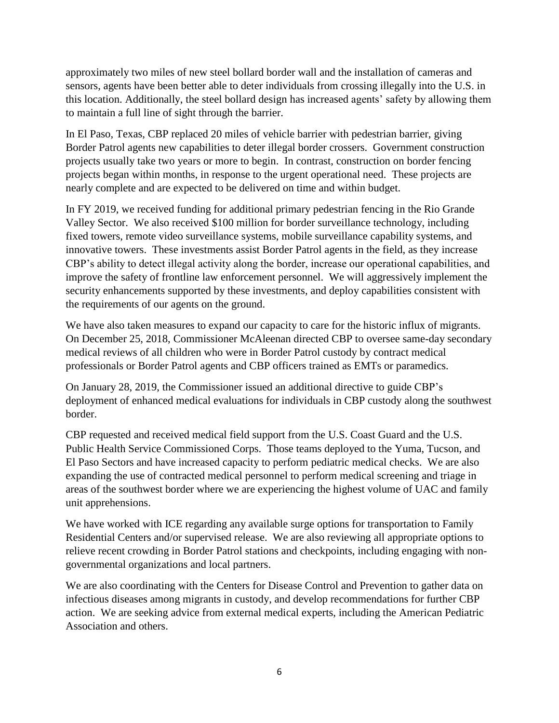approximately two miles of new steel bollard border wall and the installation of cameras and sensors, agents have been better able to deter individuals from crossing illegally into the U.S. in this location. Additionally, the steel bollard design has increased agents' safety by allowing them to maintain a full line of sight through the barrier.

In El Paso, Texas, CBP replaced 20 miles of vehicle barrier with pedestrian barrier, giving Border Patrol agents new capabilities to deter illegal border crossers. Government construction projects usually take two years or more to begin. In contrast, construction on border fencing projects began within months, in response to the urgent operational need. These projects are nearly complete and are expected to be delivered on time and within budget.

In FY 2019, we received funding for additional primary pedestrian fencing in the Rio Grande Valley Sector. We also received \$100 million for border surveillance technology, including fixed towers, remote video surveillance systems, mobile surveillance capability systems, and innovative towers. These investments assist Border Patrol agents in the field, as they increase CBP's ability to detect illegal activity along the border, increase our operational capabilities, and improve the safety of frontline law enforcement personnel. We will aggressively implement the security enhancements supported by these investments, and deploy capabilities consistent with the requirements of our agents on the ground.

We have also taken measures to expand our capacity to care for the historic influx of migrants. On December 25, 2018, Commissioner McAleenan directed CBP to oversee same-day secondary medical reviews of all children who were in Border Patrol custody by contract medical professionals or Border Patrol agents and CBP officers trained as EMTs or paramedics.

On January 28, 2019, the Commissioner issued an additional directive to guide CBP's deployment of enhanced medical evaluations for individuals in CBP custody along the southwest border.

CBP requested and received medical field support from the U.S. Coast Guard and the U.S. Public Health Service Commissioned Corps. Those teams deployed to the Yuma, Tucson, and El Paso Sectors and have increased capacity to perform pediatric medical checks. We are also expanding the use of contracted medical personnel to perform medical screening and triage in areas of the southwest border where we are experiencing the highest volume of UAC and family unit apprehensions.

We have worked with ICE regarding any available surge options for transportation to Family Residential Centers and/or supervised release. We are also reviewing all appropriate options to relieve recent crowding in Border Patrol stations and checkpoints, including engaging with nongovernmental organizations and local partners.

We are also coordinating with the Centers for Disease Control and Prevention to gather data on infectious diseases among migrants in custody, and develop recommendations for further CBP action. We are seeking advice from external medical experts, including the American Pediatric Association and others.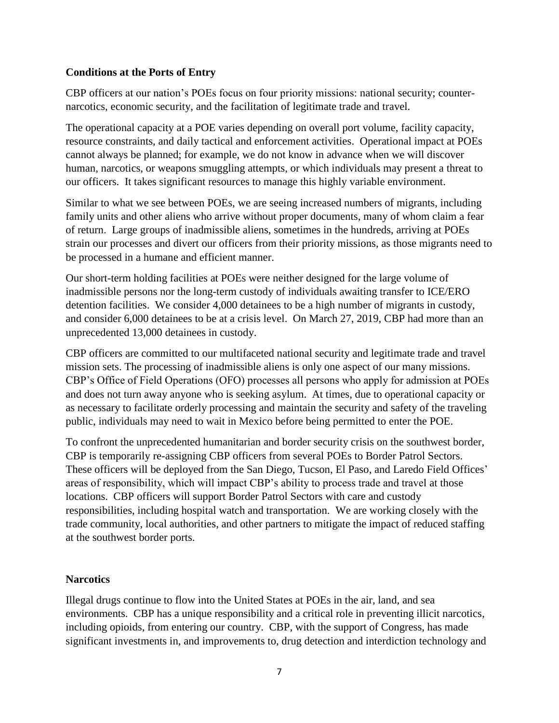## **Conditions at the Ports of Entry**

CBP officers at our nation's POEs focus on four priority missions: national security; counternarcotics, economic security, and the facilitation of legitimate trade and travel.

The operational capacity at a POE varies depending on overall port volume, facility capacity, resource constraints, and daily tactical and enforcement activities. Operational impact at POEs cannot always be planned; for example, we do not know in advance when we will discover human, narcotics, or weapons smuggling attempts, or which individuals may present a threat to our officers. It takes significant resources to manage this highly variable environment.

Similar to what we see between POEs, we are seeing increased numbers of migrants, including family units and other aliens who arrive without proper documents, many of whom claim a fear of return. Large groups of inadmissible aliens, sometimes in the hundreds, arriving at POEs strain our processes and divert our officers from their priority missions, as those migrants need to be processed in a humane and efficient manner.

Our short-term holding facilities at POEs were neither designed for the large volume of inadmissible persons nor the long-term custody of individuals awaiting transfer to ICE/ERO detention facilities. We consider 4,000 detainees to be a high number of migrants in custody, and consider 6,000 detainees to be at a crisis level. On March 27, 2019, CBP had more than an unprecedented 13,000 detainees in custody.

CBP officers are committed to our multifaceted national security and legitimate trade and travel mission sets. The processing of inadmissible aliens is only one aspect of our many missions. CBP's Office of Field Operations (OFO) processes all persons who apply for admission at POEs and does not turn away anyone who is seeking asylum. At times, due to operational capacity or as necessary to facilitate orderly processing and maintain the security and safety of the traveling public, individuals may need to wait in Mexico before being permitted to enter the POE.

To confront the unprecedented humanitarian and border security crisis on the southwest border, CBP is temporarily re-assigning CBP officers from several POEs to Border Patrol Sectors. These officers will be deployed from the San Diego, Tucson, El Paso, and Laredo Field Offices' areas of responsibility, which will impact CBP's ability to process trade and travel at those locations. CBP officers will support Border Patrol Sectors with care and custody responsibilities, including hospital watch and transportation. We are working closely with the trade community, local authorities, and other partners to mitigate the impact of reduced staffing at the southwest border ports.

# **Narcotics**

Illegal drugs continue to flow into the United States at POEs in the air, land, and sea environments. CBP has a unique responsibility and a critical role in preventing illicit narcotics, including opioids, from entering our country. CBP, with the support of Congress, has made significant investments in, and improvements to, drug detection and interdiction technology and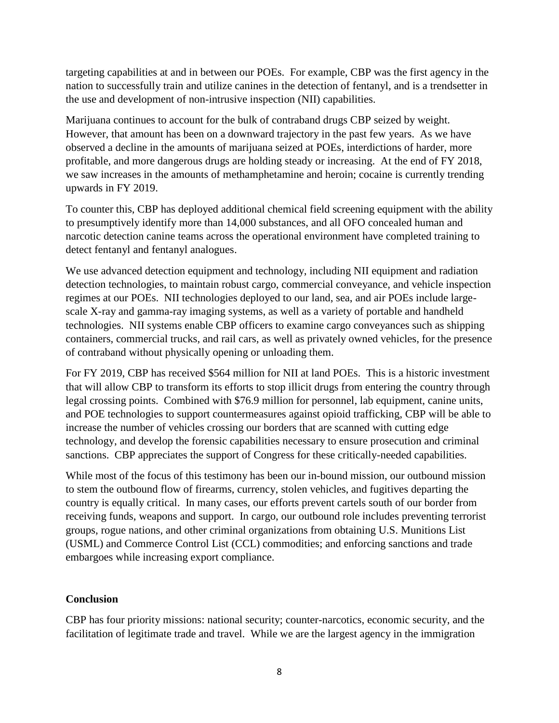targeting capabilities at and in between our POEs. For example, CBP was the first agency in the nation to successfully train and utilize canines in the detection of fentanyl, and is a trendsetter in the use and development of non-intrusive inspection (NII) capabilities.

Marijuana continues to account for the bulk of contraband drugs CBP seized by weight. However, that amount has been on a downward trajectory in the past few years. As we have observed a decline in the amounts of marijuana seized at POEs, interdictions of harder, more profitable, and more dangerous drugs are holding steady or increasing. At the end of FY 2018, we saw increases in the amounts of methamphetamine and heroin; cocaine is currently trending upwards in FY 2019.

To counter this, CBP has deployed additional chemical field screening equipment with the ability to presumptively identify more than 14,000 substances, and all OFO concealed human and narcotic detection canine teams across the operational environment have completed training to detect fentanyl and fentanyl analogues.

We use advanced detection equipment and technology, including NII equipment and radiation detection technologies, to maintain robust cargo, commercial conveyance, and vehicle inspection regimes at our POEs. NII technologies deployed to our land, sea, and air POEs include largescale X-ray and gamma-ray imaging systems, as well as a variety of portable and handheld technologies. NII systems enable CBP officers to examine cargo conveyances such as shipping containers, commercial trucks, and rail cars, as well as privately owned vehicles, for the presence of contraband without physically opening or unloading them.

For FY 2019, CBP has received \$564 million for NII at land POEs. This is a historic investment that will allow CBP to transform its efforts to stop illicit drugs from entering the country through legal crossing points. Combined with \$76.9 million for personnel, lab equipment, canine units, and POE technologies to support countermeasures against opioid trafficking, CBP will be able to increase the number of vehicles crossing our borders that are scanned with cutting edge technology, and develop the forensic capabilities necessary to ensure prosecution and criminal sanctions. CBP appreciates the support of Congress for these critically-needed capabilities.

While most of the focus of this testimony has been our in-bound mission, our outbound mission to stem the outbound flow of firearms, currency, stolen vehicles, and fugitives departing the country is equally critical. In many cases, our efforts prevent cartels south of our border from receiving funds, weapons and support. In cargo, our outbound role includes preventing terrorist groups, rogue nations, and other criminal organizations from obtaining U.S. Munitions List (USML) and Commerce Control List (CCL) commodities; and enforcing sanctions and trade embargoes while increasing export compliance.

# **Conclusion**

CBP has four priority missions: national security; counter-narcotics, economic security, and the facilitation of legitimate trade and travel. While we are the largest agency in the immigration